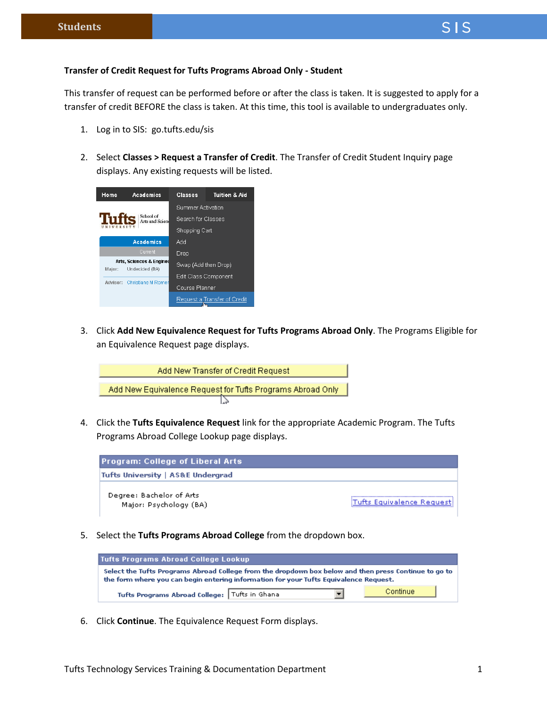This transfer of request can be performed before or after the class is taken. It is suggested to apply for a transfer of credit BEFORE the class is taken. At this time, this tool is available to undergraduates only.

- 1. Log in to SIS: go.tufts.edu/sis
- 2. Select **Classes > Request a Transfer of Credit**. The Transfer of Credit Student Inquiry page displays. Any existing requests will be listed.



3. Click **Add New Equivalence Request for Tufts Programs Abroad Only**. The Programs Eligible for an Equivalence Request page displays.



4. Click the **Tufts Equivalence Request** link for the appropriate Academic Program. The Tufts Programs Abroad College Lookup page displays.



5. Select the **Tufts Programs Abroad College** from the dropdown box.



6. Click **Continue**. The Equivalence Request Form displays.

 $SIS$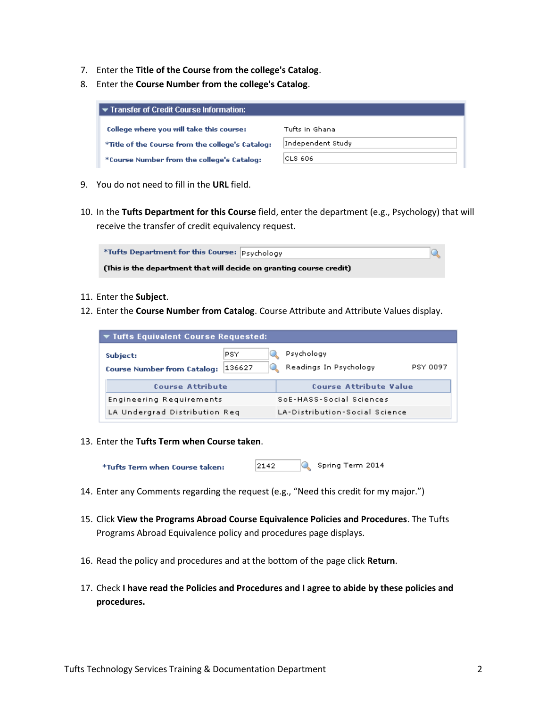- 7. Enter the **Title of the Course from the college's Catalog**.
- 8. Enter the **Course Number from the college's Catalog**.

| I ▼ Transfer of Credit Course Information:       |                   |
|--------------------------------------------------|-------------------|
| College where you will take this course:         | Tufts in Ghana    |
| *Title of the Course from the college's Catalog: | Independent Study |
| *Course Number from the college's Catalog:       | ICLS 606          |

- 9. You do not need to fill in the **URL** field.
- 10. In the **Tufts Department for this Course** field, enter the department (e.g., Psychology) that will receive the transfer of credit equivalency request.



- 11. Enter the **Subject**.
- 12. Enter the **Course Number from Catalog**. Course Attribute and Attribute Values display.

| $\blacktriangledown$ Tufts Equivalent Course Requested: |               |                                      |          |  |  |  |  |  |
|---------------------------------------------------------|---------------|--------------------------------------|----------|--|--|--|--|--|
| Subject:<br><b>Course Number from Catalog:</b>          | PSY<br>136627 | Psychology<br>Readings In Psychology | PSY 0097 |  |  |  |  |  |
| <b>Course Attribute</b>                                 |               | Course Attribute Value               |          |  |  |  |  |  |
| Engineering Requirements                                |               | SoE-HASS-Social Sciences             |          |  |  |  |  |  |
| LA Undergrad Distribution Reg                           |               | LA-Distribution-Social Science       |          |  |  |  |  |  |

13. Enter the **Tufts Term when Course taken**.

2142 Spring Term 2014 \*Tufts Term when Course taken:

- 14. Enter any Comments regarding the request (e.g., "Need this credit for my major.")
- 15. Click **View the Programs Abroad Course Equivalence Policies and Procedures**. The Tufts Programs Abroad Equivalence policy and procedures page displays.
- 16. Read the policy and procedures and at the bottom of the page click **Return**.
- 17. Check **I have read the Policies and Procedures and I agree to abide by these policies and procedures.**